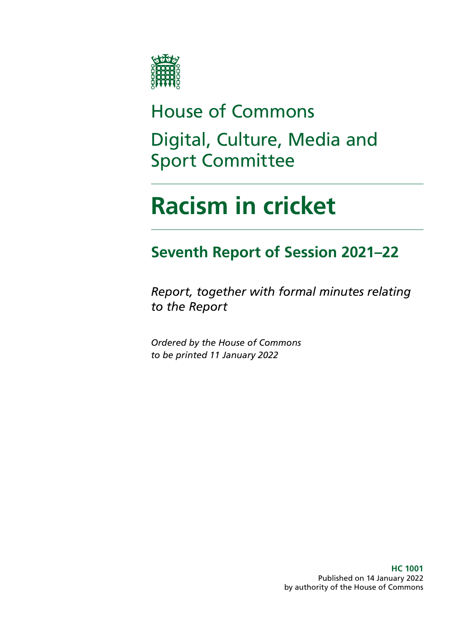

# House of Commons Digital, Culture, Media and Sport Committee

# **Racism in cricket**

## **Seventh Report of Session 2021–22**

*Report, together with formal minutes relating to the Report*

*Ordered by the House of Commons to be printed 11 January 2022*

> **HC 1001** Published on 14 January 2022 by authority of the House of Commons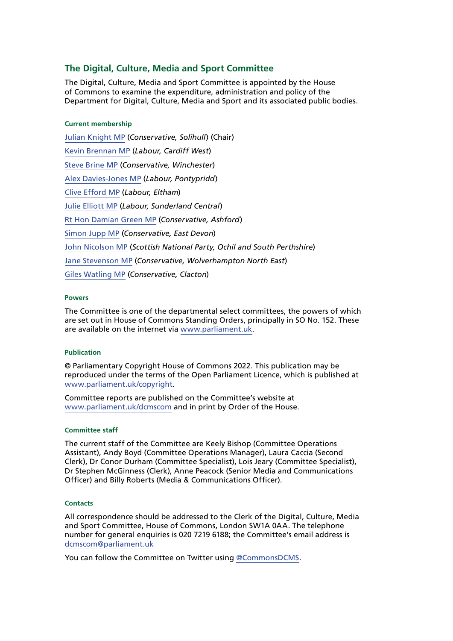### **The Digital, Culture, Media and Sport Committee**

The Digital, Culture, Media and Sport Committee is appointed by the House of Commons to examine the expenditure, administration and policy of the Department for Digital, Culture, Media and Sport and its associated public bodies.

### **Current membership**

[Julian Knight MP](https://members.parliament.uk/member/4410/contact) (*Conservative, Solihull*) (Chair) [Kevin Brennan MP](https://members.parliament.uk/member/1400/contact) (*Labour, Cardiff West*) [Steve Brine MP](https://members.parliament.uk/member/4067/contact) (*Conservative, Winchester*) [Alex Davies-Jones MP](https://members.parliament.uk/member/4849/contact) (*Labour, Pontypridd*) [Clive Efford MP](https://members.parliament.uk/member/165/contact) (*Labour, Eltham*) [Julie Elliott MP](https://members.parliament.uk/member/4127/contact) (*Labour, Sunderland Central*) [Rt Hon Damian Green MP](https://members.parliament.uk/member/76/contact) (*Conservative, Ashford*) [Simon Jupp MP](https://members.parliament.uk/member/4862/contact) (*Conservative, East Devon*) [John Nicolson MP](https://members.parliament.uk/member/4415/contact) (*Scottish National Party, Ochil and South Perthshire*) [Jane Stevenson MP](https://members.parliament.uk/member/4750/contact) (*Conservative, Wolverhampton North East*) [Giles Watling MP](https://members.parliament.uk/member/4677/contact) (*Conservative, Clacton*)

### **Powers**

The Committee is one of the departmental select committees, the powers of which are set out in House of Commons Standing Orders, principally in SO No. 152. These are available on the internet via [www.parliament.uk.](https://www.parliament.uk/)

### **Publication**

© Parliamentary Copyright House of Commons 2022. This publication may be reproduced under the terms of the Open Parliament Licence, which is published at [www.parliament.uk/copyright](https://www.parliament.uk/copyright).

Committee reports are published on the Committee's website at [www.parliament.uk/dcmscom](https://committees.parliament.uk/committee/378/digital-culture-media-and-sport-committee/publications/) and in print by Order of the House.

### **Committee staff**

The current staff of the Committee are Keely Bishop (Committee Operations Assistant), Andy Boyd (Committee Operations Manager), Laura Caccia (Second Clerk), Dr Conor Durham (Committee Specialist), Lois Jeary (Committee Specialist), Dr Stephen McGinness (Clerk), Anne Peacock (Senior Media and Communications Officer) and Billy Roberts (Media & Communications Officer).

### **Contacts**

All correspondence should be addressed to the Clerk of the Digital, Culture, Media and Sport Committee, House of Commons, London SW1A 0AA. The telephone number for general enquiries is 020 7219 6188; the Committee's email address is [dcmscom@parliament.uk](mailto:dcmscom%40parliament.uk%0D?subject=)

You can follow the Committee on Twitter using [@CommonsDCMS](https://twitter.com/CommonsDCMS).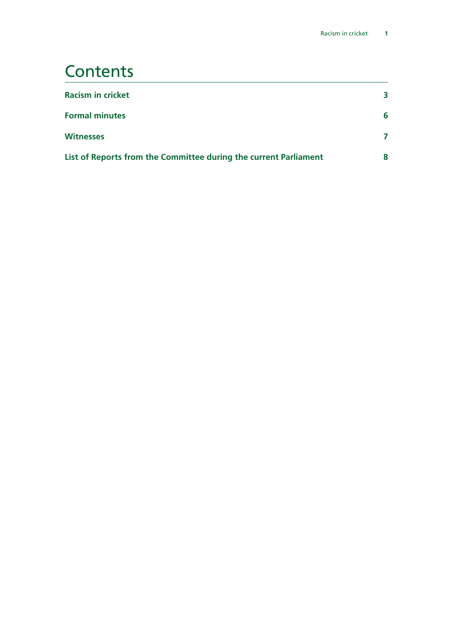### **Contents**

| <b>Racism in cricket</b>                                         | 3 |
|------------------------------------------------------------------|---|
| <b>Formal minutes</b>                                            | 6 |
| <b>Witnesses</b>                                                 |   |
| List of Reports from the Committee during the current Parliament | 8 |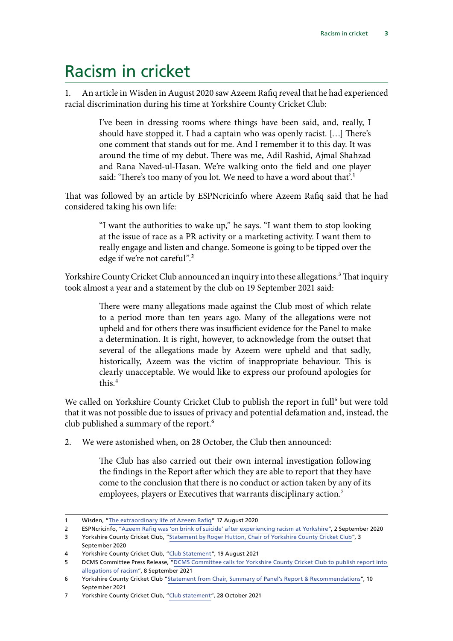# <span id="page-3-0"></span>Racism in cricket

1. An article in Wisden in August 2020 saw Azeem Rafiq reveal that he had experienced racial discrimination during his time at Yorkshire County Cricket Club:

> I've been in dressing rooms where things have been said, and, really, I should have stopped it. I had a captain who was openly racist. […] There's one comment that stands out for me. And I remember it to this day. It was around the time of my debut. There was me, Adil Rashid, Ajmal Shahzad and Rana Naved-ul-Hasan. We're walking onto the field and one player said: 'There's too many of you lot. We need to have a word about that'.<sup>1</sup>

That was followed by an article by ESPNcricinfo where Azeem Rafiq said that he had considered taking his own life:

> "I want the authorities to wake up," he says. "I want them to stop looking at the issue of race as a PR activity or a marketing activity. I want them to really engage and listen and change. Someone is going to be tipped over the edge if we're not careful".2

Yorkshire County Cricket Club announced an inquiry into these allegations.<sup>3</sup> That inquiry took almost a year and a statement by the club on 19 September 2021 said:

> There were many allegations made against the Club most of which relate to a period more than ten years ago. Many of the allegations were not upheld and for others there was insufficient evidence for the Panel to make a determination. It is right, however, to acknowledge from the outset that several of the allegations made by Azeem were upheld and that sadly, historically, Azeem was the victim of inappropriate behaviour. This is clearly unacceptable. We would like to express our profound apologies for this<sup>4</sup>

We called on Yorkshire County Cricket Club to publish the report in full<sup>5</sup> but were told that it was not possible due to issues of privacy and potential defamation and, instead, the club published a summary of the report.<sup>6</sup>

2. We were astonished when, on 28 October, the Club then announced:

The Club has also carried out their own internal investigation following the findings in the Report after which they are able to report that they have come to the conclusion that there is no conduct or action taken by any of its employees, players or Executives that warrants disciplinary action.<sup>7</sup>

<sup>1</sup> Wisden, "[The extraordinary life of Azeem Rafiq](https://wisden.com/stories/interviews/the-extraordinary-life-of-azeem-rafiq)" 17 August 2020

<sup>2</sup> ESPNcricinfo, ["Azeem Rafiq was 'on brink of suicide' after experiencing racism at Yorkshire](https://www.espncricinfo.com/story/azeem-rafiq-was-on-brink-of-suicide-after-experiencing-racism-at-yorkshire-1231162)", 2 September 2020

<sup>3</sup> Yorkshire County Cricket Club, "[Statement by Roger Hutton, Chair of Yorkshire County Cricket Club](https://yorkshireccc.com/news/view/8697/statement-by-roger-hutton-chair-of-yorkshire-county-cricket-club)", 3 September 2020

<sup>4</sup> Yorkshire County Cricket Club, ["Club Statement"](https://yorkshireccc.com/news/view/9465/club-statement), 19 August 2021

<sup>5</sup> DCMS Committee Press Release, ["DCMS Committee calls for Yorkshire County Cricket Club to publish report into](https://committees.parliament.uk/committee/378/digital-culture-media-and-sport-committee/news/157364/dcms-committee-calls-for-yorkshire-county-cricket-club-to-publish-report-into-allegations-of-racism/)  [allegations of racism](https://committees.parliament.uk/committee/378/digital-culture-media-and-sport-committee/news/157364/dcms-committee-calls-for-yorkshire-county-cricket-club-to-publish-report-into-allegations-of-racism/)", 8 September 2021

<sup>6</sup> Yorkshire County Cricket Club ["Statement from Chair, Summary of Panel's Report & Recommendations"](https://yorkshireccc.com/news/view/9525/statement-from-chair-summary-of-panel-s-report-recommendations), 10 September 2021

<sup>7</sup> Yorkshire County Cricket Club, ["Club statement](https://yorkshireccc.com/news/view/9616/club-statement)", 28 October 2021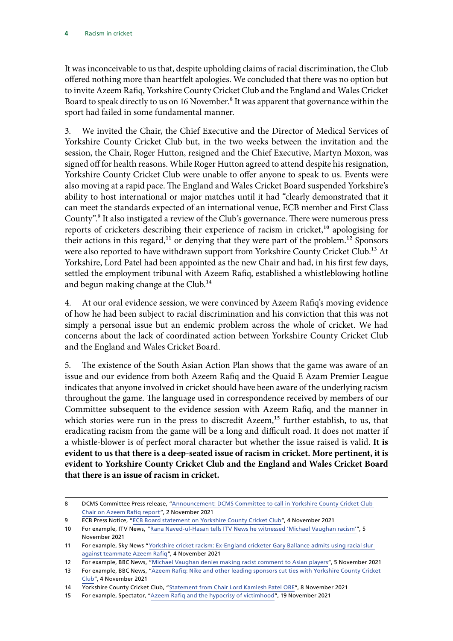It was inconceivable to us that, despite upholding claims of racial discrimination, the Club offered nothing more than heartfelt apologies. We concluded that there was no option but to invite Azeem Rafiq, Yorkshire County Cricket Club and the England and Wales Cricket Board to speak directly to us on 16 November.<sup>8</sup> It was apparent that governance within the sport had failed in some fundamental manner.

3. We invited the Chair, the Chief Executive and the Director of Medical Services of Yorkshire County Cricket Club but, in the two weeks between the invitation and the session, the Chair, Roger Hutton, resigned and the Chief Executive, Martyn Moxon, was signed off for health reasons. While Roger Hutton agreed to attend despite his resignation, Yorkshire County Cricket Club were unable to offer anyone to speak to us. Events were also moving at a rapid pace. The England and Wales Cricket Board suspended Yorkshire's ability to host international or major matches until it had "clearly demonstrated that it can meet the standards expected of an international venue, ECB member and First Class County".9 It also instigated a review of the Club's governance. There were numerous press reports of cricketers describing their experience of racism in cricket,<sup>10</sup> apologising for their actions in this regard,<sup>11</sup> or denying that they were part of the problem.<sup>12</sup> Sponsors were also reported to have withdrawn support from Yorkshire County Cricket Club.<sup>13</sup> At Yorkshire, Lord Patel had been appointed as the new Chair and had, in his first few days, settled the employment tribunal with Azeem Rafiq, established a whistleblowing hotline and begun making change at the Club.<sup>14</sup>

4. At our oral evidence session, we were convinced by Azeem Rafiq's moving evidence of how he had been subject to racial discrimination and his conviction that this was not simply a personal issue but an endemic problem across the whole of cricket. We had concerns about the lack of coordinated action between Yorkshire County Cricket Club and the England and Wales Cricket Board.

5. The existence of the South Asian Action Plan shows that the game was aware of an issue and our evidence from both Azeem Rafiq and the Quaid E Azam Premier League indicates that anyone involved in cricket should have been aware of the underlying racism throughout the game. The language used in correspondence received by members of our Committee subsequent to the evidence session with Azeem Rafiq, and the manner in which stories were run in the press to discredit Azeem,<sup>15</sup> further establish, to us, that eradicating racism from the game will be a long and difficult road. It does not matter if a whistle-blower is of perfect moral character but whether the issue raised is valid. **It is evident to us that there is a deep-seated issue of racism in cricket. More pertinent, it is evident to Yorkshire County Cricket Club and the England and Wales Cricket Board that there is an issue of racism in cricket.**

<sup>8</sup> DCMS Committee Press release, "Announcement: DCMS Committee to call in Yorkshire County Cricket Club [Chair on Azeem Rafiq report"](https://committees.parliament.uk/committee/378/digital-culture-media-and-sport-committee/news/158502/announcement-dcms-committee-to-call-in-yorkshire-county-cricket-club-chair-on-azeem-rafiq-report/), 2 November 2021

<sup>9</sup> ECB Press Notice, "[ECB Board statement on Yorkshire County Cricket Club"](https://www.ecb.co.uk/news/2337251/ecb-board-statement-on-yorkshire-county-cricket-club), 4 November 2021

<sup>10</sup> For example, ITV News, "[Rana Naved-ul-Hasan tells ITV News he witnessed 'Michael Vaughan racism'"](https://www.itv.com/news/2021-11-05/rana-naved-ul-hasan-tells-itv-news-he-witnessed-michael-vaughan-racism), 5 November 2021

<sup>11</sup> For example, Sky News "[Yorkshire cricket racism: Ex-England cricketer Gary Ballance admits using racial slur](https://news.sky.com/story/yorkshire-cricket-racism-ex-england-cricketer-gary-ballance-admits-using-racial-slur-against-teammate-azeem-rafiq-12459187)  [against teammate Azeem Rafiq](https://news.sky.com/story/yorkshire-cricket-racism-ex-england-cricketer-gary-ballance-admits-using-racial-slur-against-teammate-azeem-rafiq-12459187)", 4 November 2021

<sup>12</sup> For example, BBC News, "[Michael Vaughan denies making racist comment to Asian players](https://www.bbc.co.uk/sport/cricket/59177667?at_medium=RSS&at_campaign=KARANGA)", 5 November 2021

<sup>13</sup> For example, BBC News, ["Azeem Rafiq: Nike and other leading sponsors cut ties with Yorkshire County Cricket](https://www.bbc.co.uk/sport/cricket/59148419) [Club"](https://www.bbc.co.uk/sport/cricket/59148419), 4 November 2021

<sup>14</sup> Yorkshire County Cricket Club, "[Statement from Chair Lord Kamlesh Patel OBE](https://yorkshireccc.com/news/view/9625/statement-from-chair-lord-kamlesh-patel-obe)", 8 November 2021

<sup>15</sup> For example, Spectator, ["Azeem Rafiq and the hypocrisy of victimhood"](https://www.spectator.co.uk/article/azeem-rafiq-and-the-hypocrisy-of-victimhood), 19 November 2021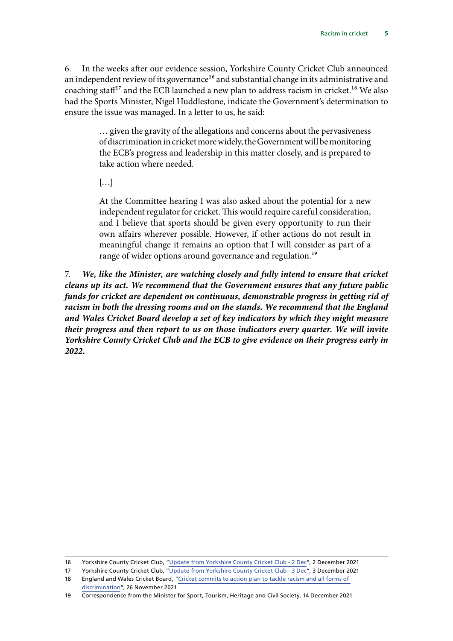6. In the weeks after our evidence session, Yorkshire County Cricket Club announced an independent review of its governance<sup>16</sup> and substantial change in its administrative and coaching staf<sup>17</sup> and the ECB launched a new plan to address racism in cricket.<sup>18</sup> We also had the Sports Minister, Nigel Huddlestone, indicate the Government's determination to ensure the issue was managed. In a letter to us, he said:

> … given the gravity of the allegations and concerns about the pervasiveness of discrimination in cricket more widely, the Government will be monitoring the ECB's progress and leadership in this matter closely, and is prepared to take action where needed.

 $\left[\ldots\right]$ 

At the Committee hearing I was also asked about the potential for a new independent regulator for cricket. This would require careful consideration, and I believe that sports should be given every opportunity to run their own affairs wherever possible. However, if other actions do not result in meaningful change it remains an option that I will consider as part of a range of wider options around governance and regulation.<sup>19</sup>

7. *We, like the Minister, are watching closely and fully intend to ensure that cricket cleans up its act. We recommend that the Government ensures that any future public funds for cricket are dependent on continuous, demonstrable progress in getting rid of racism in both the dressing rooms and on the stands. We recommend that the England and Wales Cricket Board develop a set of key indicators by which they might measure their progress and then report to us on those indicators every quarter. We will invite Yorkshire County Cricket Club and the ECB to give evidence on their progress early in 2022.*

<sup>16</sup> Yorkshire County Cricket Club, "[Update from Yorkshire County Cricket Club - 2 Dec](https://yorkshireccc.com/news/view/9644/update-from-yorkshire-county-cricket-club-2-dec)", 2 December 2021

<sup>17</sup> Yorkshire County Cricket Club, "[Update from Yorkshire County Cricket Club - 3 Dec](https://yorkshireccc.com/news/view/9646/update-from-yorkshire-county-cricket-club-3-december)", 3 December 2021

<sup>18</sup> England and Wales Cricket Board, "Cricket commits to action plan to tackle racism and all forms of discrimination", 26 November 2021

<sup>19</sup> Correspondence from the Minister for Sport, Tourism, Heritage and Civil Society, 14 December 2021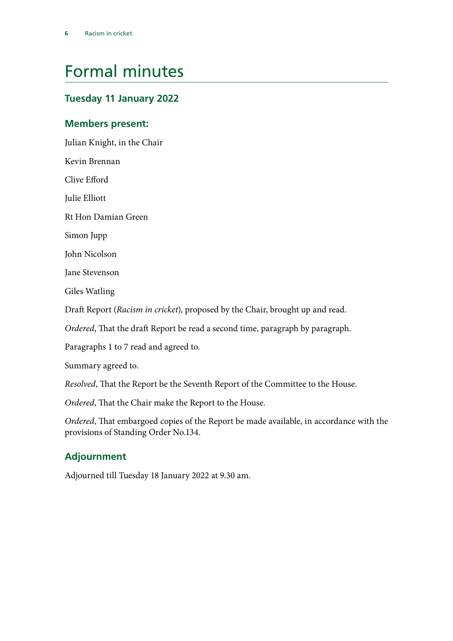# <span id="page-6-0"></span>Formal minutes

### **Tuesday 11 January 2022**

### **Members present:**

Julian Knight, in the Chair

Kevin Brennan

Clive Efford

Julie Elliott

Rt Hon Damian Green

Simon Jupp

John Nicolson

Jane Stevenson

Giles Watling

Draft Report (*Racism in cricket*), proposed by the Chair, brought up and read.

*Ordered*, That the draft Report be read a second time, paragraph by paragraph.

Paragraphs 1 to 7 read and agreed to.

Summary agreed to.

*Resolved*, That the Report be the Seventh Report of the Committee to the House.

*Ordered*, That the Chair make the Report to the House.

*Ordered*, That embargoed copies of the Report be made available, in accordance with the provisions of Standing Order No.134.

### **Adjournment**

Adjourned till Tuesday 18 January 2022 at 9.30 am.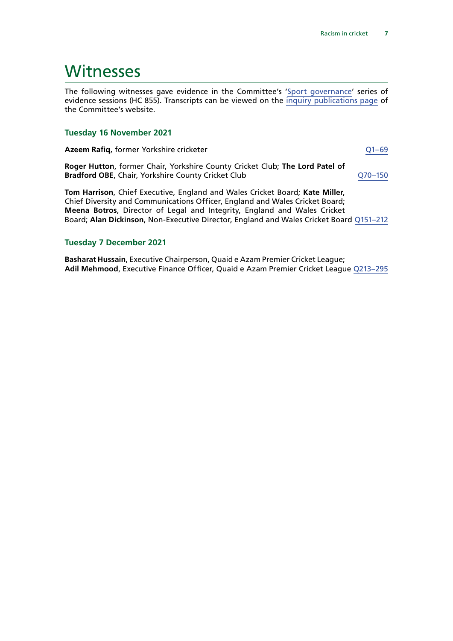### <span id="page-7-0"></span>**Witnesses**

The following witnesses gave evidence in the Committee's '[Sport governance'](https://committees.parliament.uk/work/1607/sport-governance/) series of evidence sessions (HC 855). Transcripts can be viewed on the [inquiry publications page](https://committees.parliament.uk/work/1607/default/publications/oral-evidence/) of the Committee's website.

### **Tuesday 16 November 2021**

**Azeem Rafiq**, former Yorkshire cricketer **COMES 2014** COMES 201-69

**Roger Hutton**, former Chair, Yorkshire County Cricket Club; **The Lord Patel of Bradford OBE**, Chair, Yorkshire County Cricket Club Q70-150

**Tom Harrison**, Chief Executive, England and Wales Cricket Board; **Kate Miller**, Chief Diversity and Communications Officer, England and Wales Cricket Board; **Meena Botros**, Director of Legal and Integrity, England and Wales Cricket Board; **Alan Dickinson**, Non-Executive Director, England and Wales Cricket Board [Q151–212](https://committees.parliament.uk/oralevidence/3011/html/)

### **Tuesday 7 December 2021**

**Basharat Hussain**, Executive Chairperson, Quaid e Azam Premier Cricket League; **Adil Mehmood**, Executive Finance Officer, Quaid e Azam Premier Cricket League [Q213–295](https://committees.parliament.uk/oralevidence/3159/html/)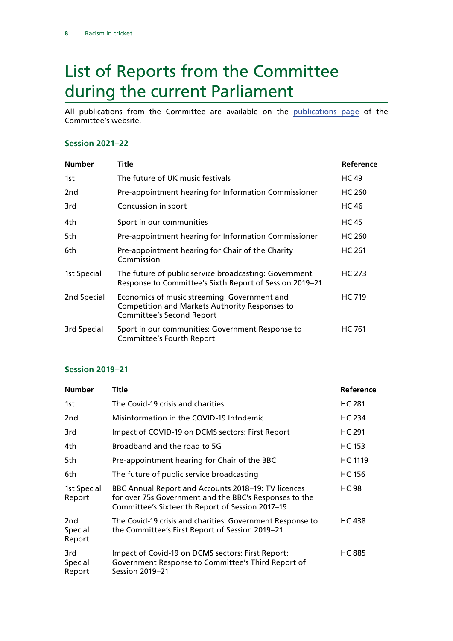# <span id="page-8-0"></span>List of Reports from the Committee during the current Parliament

All publications from the Committee are available on the [publications page](https://committees.parliament.uk/committee/378/digital-culture-media-and-sport-committee/publications/) of the Committee's website.

### **Session 2021–22**

| <b>Number</b> | Title                                                                                                                                     | Reference     |
|---------------|-------------------------------------------------------------------------------------------------------------------------------------------|---------------|
| 1st           | The future of UK music festivals                                                                                                          | <b>HC 49</b>  |
| 2nd           | Pre-appointment hearing for Information Commissioner                                                                                      | HC 260        |
| 3rd           | Concussion in sport                                                                                                                       | <b>HC 46</b>  |
| 4th.          | Sport in our communities                                                                                                                  | <b>HC45</b>   |
| 5th           | Pre-appointment hearing for Information Commissioner                                                                                      | HC 260        |
| 6th           | Pre-appointment hearing for Chair of the Charity<br>Commission                                                                            | <b>HC 261</b> |
| 1st Special   | The future of public service broadcasting: Government<br>Response to Committee's Sixth Report of Session 2019-21                          | <b>HC 273</b> |
| 2nd Special   | Economics of music streaming: Government and<br><b>Competition and Markets Authority Responses to</b><br><b>Committee's Second Report</b> | <b>HC 719</b> |
| 3rd Special   | Sport in our communities: Government Response to<br>Committee's Fourth Report                                                             | <b>HC 761</b> |

### **Session 2019–21**

| <b>Number</b>                        | Title                                                                                                                                                            | Reference      |
|--------------------------------------|------------------------------------------------------------------------------------------------------------------------------------------------------------------|----------------|
| 1st                                  | The Covid-19 crisis and charities                                                                                                                                | <b>HC 281</b>  |
| 2 <sub>nd</sub>                      | Misinformation in the COVID-19 Infodemic                                                                                                                         | <b>HC 234</b>  |
| 3rd                                  | Impact of COVID-19 on DCMS sectors: First Report                                                                                                                 | <b>HC 291</b>  |
| 4th.                                 | Broadband and the road to 5G                                                                                                                                     | <b>HC 153</b>  |
| 5th                                  | Pre-appointment hearing for Chair of the BBC                                                                                                                     | <b>HC 1119</b> |
| 6th                                  | The future of public service broadcasting                                                                                                                        | <b>HC 156</b>  |
| 1st Special<br>Report                | BBC Annual Report and Accounts 2018-19: TV licences<br>for over 75s Government and the BBC's Responses to the<br>Committee's Sixteenth Report of Session 2017-19 | <b>HC 98</b>   |
| 2 <sub>nd</sub><br>Special<br>Report | The Covid-19 crisis and charities: Government Response to<br>the Committee's First Report of Session 2019–21                                                     | <b>HC 438</b>  |
| 3rd<br>Special<br>Report             | Impact of Covid-19 on DCMS sectors: First Report:<br>Government Response to Committee's Third Report of<br><b>Session 2019-21</b>                                | <b>HC 885</b>  |